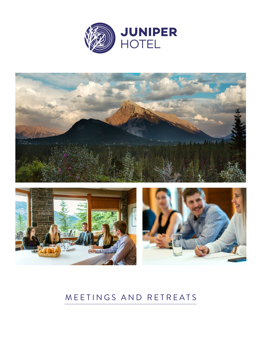





# MEETINGS AND RETREATS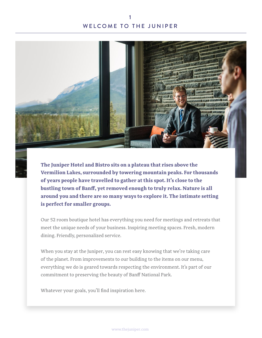# WELCOME TO THE JUNIPER 1



**The Juniper Hotel and Bistro sits on a plateau that rises above the Vermilion Lakes, surrounded by towering mountain peaks. For thousands of years people have travelled to gather at this spot. It's close to the bustling town of Banff, yet removed enough to truly relax. Nature is all around you and there are so many ways to explore it. The intimate setting is perfect for smaller groups.**

Our 52 room boutique hotel has everything you need for meetings and retreats that meet the unique needs of your business. Inspiring meeting spaces. Fresh, modern dining. Friendly, personalized service.

When you stay at the Juniper, you can rest easy knowing that we're taking care of the planet. From improvements to our building to the items on our menu, everything we do is geared towards respecting the environment. It's part of our commitment to preserving the beauty of Banff National Park.

Whatever your goals, you'll find inspiration here.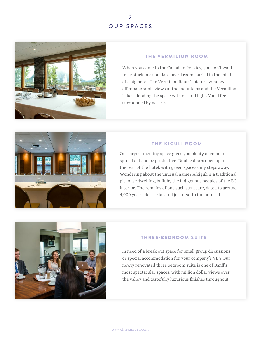# OUR SPACES 2



### THE VERMILION ROOM

When you come to the Canadian Rockies, you don't want to be stuck in a standard board room, buried in the middle of a big hotel. The Vermilion Room's picture windows offer panoramic views of the mountains and the Vermilion Lakes, flooding the space with natural light. You'll feel surrounded by nature.



### THE KIGULI ROOM

Our largest meeting space gives you plenty of room to spread out and be productive. Double doors open up to the rear of the hotel, with green spaces only steps away. Wondering about the unusual name? A kiguli is a traditional pithouse dwelling, built by the Indigenous peoples of the BC interior. The remains of one such structure, dated to around 4,000 years old, are located just next to the hotel site.



### THREE-BEDROOM SUITE

In need of a break out space for small group discussions, or special accommodation for your company's VIP? Our newly renovated three bedroom suite is one of Banff's most spectacular spaces, with million dollar views over the valley and tastefully luxurious finishes throughout.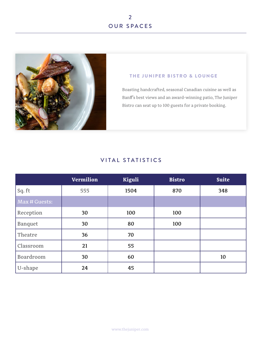

### THE JUNIPER BISTRO & LOUNGE

Boasting handcrafted, seasonal Canadian cuisine as well as Banff's best views and an award-winning patio, The Juniper Bistro can seat up to 100 guests for a private booking.

# VITAL STATISTICS

|                | <b>Vermilion</b> | Kiguli | <b>Bistro</b> | <b>Suite</b> |
|----------------|------------------|--------|---------------|--------------|
| Sq. ft         | 555              | 1504   | 870           | 348          |
| Max # Guests:  |                  |        |               |              |
| Reception      | 30               | 100    | 100           |              |
| <b>Banquet</b> | 30               | 80     | 100           |              |
| Theatre        | 36               | 70     |               |              |
| Classroom      | 21               | 55     |               |              |
| Boardroom      | 30               | 60     |               | 10           |
| U-shape        | 24               | 45     |               |              |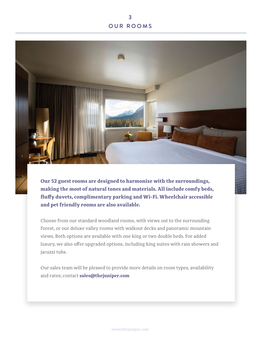# OUR ROOMS 3



**Our 52 guest rooms are designed to harmonize with the surroundings, making the most of natural tones and materials. All include comfy beds, fluffy duvets, complimentary parking and Wi-Fi. Wheelchair accessible and pet friendly rooms are also available.**

Choose from our standard woodland rooms, with views out to the surrounding forest, or our deluxe valley rooms with walkout decks and panoramic mountain views. Both options are available with one king or two double beds. For added luxury, we also offer upgraded options, including king suites with rain showers and jacuzzi tubs.

Our sales team will be pleased to provide more details on room types, availability and rates; contact **sales@thejuniper.com**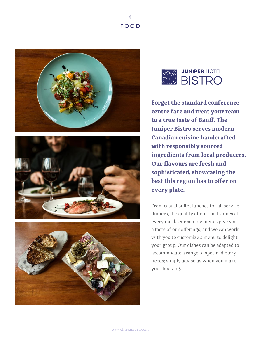FOOD 4









**Forget the standard conference centre fare and treat your team to a true taste of Banff. The Juniper Bistro serves modern Canadian cuisine handcrafted with responsibly sourced ingredients from local producers. Our flavours are fresh and sophisticated, showcasing the best this region has to offer on every plate.** 

From casual buffet lunches to full service dinners, the quality of our food shines at every meal. Our sample menus give you a taste of our offerings, and we can work with you to customize a menu to delight your group. Our dishes can be adapted to accommodate a range of special dietary needs; simply advise us when you make your booking.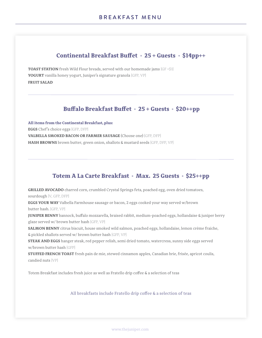# **Continental Breakfast Buffet • 25 + Guests • \$14pp++**

**TOAST STATION** fresh Wild Flour breads, served with our homemade jams {GF +\$1} **YOGURT** vanilla honey yogurt, Juniper's signature granola {GFP, VP} **FRUIT SALAD**

### **Buffalo Breakfast Buffet • 25 + Guests • \$20++pp**

**All items from the Continental Breakfast, plus: EGGS** Chef's choice eggs {GFP, DFP} **VALBELLA SMOKED BACON OR FARMER SAUSAGE** (Choose one) {GFP, DFP} **HASH BROWNS** brown butter, green onion, shallots & mustard seeds {GFP, DFP, VP}

## **Totem A La Carte Breakfast • Max. 25 Guests • \$25++pp**

**GRILLED AVOCADO** charred corn, crumbled Crystal Springs feta, poached egg, oven dried tomatoes, sourdough {V, GFP, DFP}

**EGGS YOUR WAY** Valbella Farmhouse sausage or bacon, 2 eggs cooked your way served w/brown butter hash. {GFP, VP}

**JUNIPER BENNY** bannock, buffalo mozzarella, braised rabbit, medium-poached eggs, hollandaise & juniper berry glaze served w/ brown butter hash {GFP, VP}

**SALMON BENNY** citrus biscuit, house smoked wild salmon, poached eggs, hollandaise, lemon crème fraiche, & pickled shallots served w/ brown butter hash {GFP, VP}

**STEAK AND EGGS** hanger steak, red pepper relish, semi dried tomato, watercress, sunny side eggs served w/brown butter hash {GFP}

**STUFFED FRENCH TOAST** fresh pain de mie, stewed cinnamon apples, Canadian brie, frisée, apricot coulis, candied nuts {VP}

Totem Breakfast includes fresh juice as well as Fratello drip coffee & a selection of teas

All breakfasts include Fratello drip coffee & a selection of teas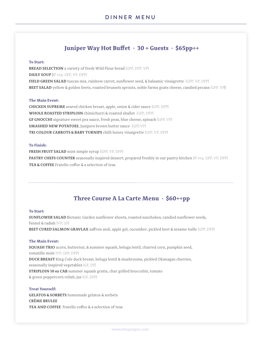# **Juniper Way Hot Buffet • 30 + Guests • \$65pp++**

#### **To Start:**

**BREAD SELECTION** a variety of fresh Wild Flour bread {GFP, DFP, VP} **DAILY SOUP {**If req. GFP, VP, DFP} **FIELD GREEN SALAD** tuscan mix, rainbow carrot, sunflower seed, & balsamic vinaigrette {GFP, VP, DFP} **BEET SALAD** yellow & golden beets, roasted brussels sprouts, noble farms goats cheese, candied pecans {GFP, VP}

#### **The Main Event:**

**CHICKEN SUPREME** seared chicken breast, apple, onion & cider sauce {GFP, DFP} **WHOLE ROASTED STRIPLOIN** chimichurri & roasted shallot {GFP, DFP} **GF GNOCCHI** signature sweet pea sauce, fresh peas, blue cheese, spinach {GFP, VP} **SMASHED NEW POTATOES**, Junipers brown butter sauce {GFP,VP} **TRI COLOUR CARROTS & BABY TURNIPS** chilli honey vinaigrette {GFP, VP, DFP}

#### **To Finish:**

**FRESH FRUIT SALAD** mint simple syrup {GFP, VP, DFP} **PASTRY CHEFS COUNTER** seasonally inspired dessert, prepared freshly in our pastry kitchen {If req. GFP, VP, DFP} **TEA & COFFEE** Fratello coffee & a selection of teas

## **Three Course A La Carte Menu • \$60++pp**

#### **To Start:**

**SUNFLOWER SALAD** Biotanic Garden sunflower shoots, roasted sunchokes, candied sunflower seeds, fennel & radish {VP, GF} **BEET CURED SALMON GRAVLAX** saffron aioli, apple gel, cucumber, pickled beet & sesame tuille {GFP, DFP}

#### **The Main Event:**

**SQUASH TRIO** acorn, butternut, & summer squash, beluga lentil, charred corn, pumpkin seed, tomatillo mole {VP, GFP, DFP} **DUCK BREAST** King Cole duck breast, beluga lentil & mushrooms, pickled Okanagan cherries, seasonally inspired vegetables {GF, DF} **STRIPLOIN 10 oz CAB** summer squash gratin, char grilled broccolini, tomato & green peppercorn relish, jus {GF, DFP}

#### **Treat Yourself:**

**GELATOS & SORBETS** homemade gelatos & sorbets **CRÈME BRULEE TEA AND COFFEE** fratello coffee & a selection of teas